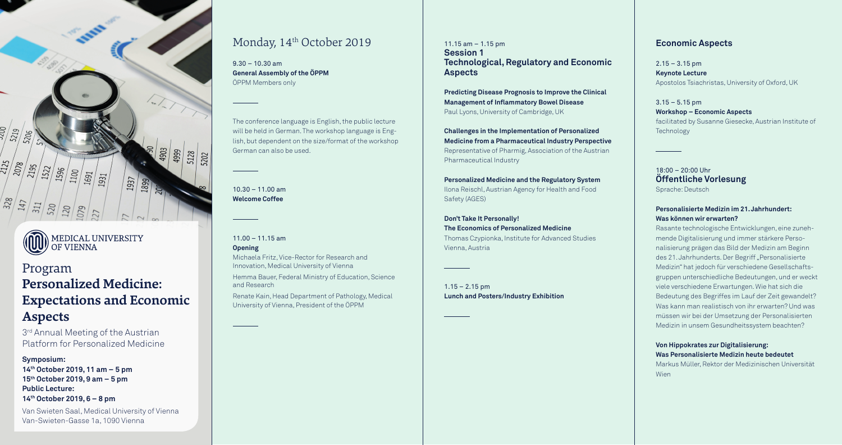



**MEDICAL UNIVERSITY** OF VIENNA

 $9.30 - 10.30$  am **General Assembly of the ÖPPM**  ÖPPM Members only

 $10.30 - 11.00$  am **Welcome Coffee** 

The conference language is English, the public lecture will be held in German. The workshop language is English, but dependent on the size/format of the workshop German can also be used.

11.00 – 11.15 am

#### **Opening**

Michaela Fritz, Vice-Rector for Research and Innovation, Medical University of Vienna

Hemma Bauer, Federal Ministry of Education, Science and Research

Renate Kain, Head Department of Pathology, Medical University of Vienna, President of the ÖPPM

11.15 am – 1.15 pm **Session 1 Technological, Regulatory and Economic Aspects** 

 $1.15 - 2.15$  pm **Lunch and Posters/Industry Exhibition**  $2.15 - 3.15$  pm **Keynote Lecture** Apostolos Tsiachristas, University of Oxford, UK

**Predicting Disease Prognosis to Improve the Clinical Management of Inflammatory Bowel Disease**  Paul Lyons, University of Cambridge, UK

 $3.15 - 5.15$  pm **Workshop – Economic Aspects** facilitated by Susanne Giesecke, Austrian Institute of Technology

**Challenges in the Implementation of Personalized Medicine from a Pharmaceutical Industry Perspective**  Representative of Pharmig, Association of the Austrian Pharmaceutical Industry

**Personalized Medicine and the Regulatory System** Ilona Reischl, Austrian Agency for Health and Food Safety (AGES)

**Don't Take It Personally! The Economics of Personalized Medicine**  Thomas Czypionka, Institute for Advanced Studies

Vienna, Austria

3<sup>rd</sup> Annual Meeting of the Austrian Platform for Personalized Medicine

### **Economic Aspects**

18:00 – 20:00 Uhr **Öffentliche Vorlesung** 

Sprache: Deutsch

#### **Personalisierte Medizin im 21. Jahrhundert: Was können wir erwarten?**

Rasante technologische Entwicklungen, eine zunehmende Digitalisierung und immer stärkere Personalisierung prägen das Bild der Medizin am Beginn des 21. Jahrhunderts. Der Begriff "Personalisierte Medizin" hat jedoch für verschiedene Gesellschaftsgruppen unterschiedliche Bedeutungen, und er weckt viele verschiedene Erwartungen. Wie hat sich die Bedeutung des Begriffes im Lauf der Zeit gewandelt? Was kann man realistisch von ihr erwarten? Und was müssen wir bei der Umsetzung der Personalisierten Medizin in unsem Gesundheitssystem beachten?

#### **Von Hippokrates zur Digitalisierung: Was Personalisierte Medizin heute bedeutet**

Markus Müller, Rektor der Medizinischen Universität

Wien

# Program **Personalized Medicine: Expectations and Economic Aspects**

#### **Symposium:**

**14th October 2019, 11 am – 5 pm 15th October 2019, 9 am – 5 pm Public Lecture: 14th October 2019, 6 – 8 pm** 

Van Swieten Saal, Medical University of Vienna Van-Swieten-Gasse 1a, 1090 Vienna

## Monday, 14<sup>th</sup> October 2019